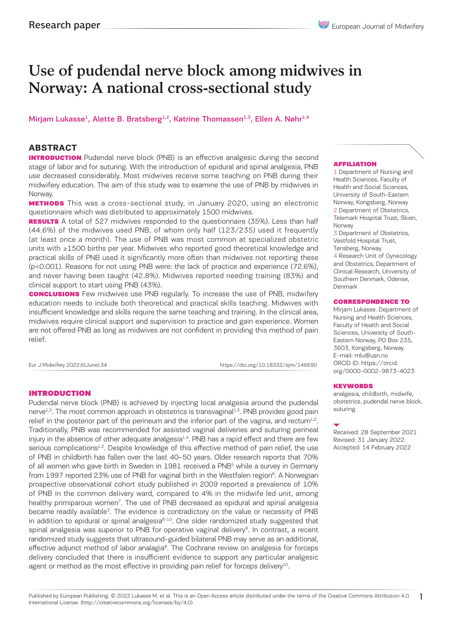# Use of pudendal nerve block among midwives in Norway: A national cross-sectional study

### Mirjam Lukasse<sup>1</sup>, Alette B. Bratsberg<sup>1,2</sup>, Katrine Thomassen<sup>1,3</sup>, Ellen A. Nøhr<sup>1,4</sup>

### **ABSTRACT**

**INTRODUCTION** Pudendal nerve block (PNB) is an effective analgesic during the second stage of labor and for suturing. With the introduction of epidural and spinal analgesia, PNB use decreased considerably. Most midwives receive some teaching on PNB during their midwifery education. The aim of this study was to examine the use of PNB by midwives in Norway.

**METHODS** This was a cross-sectional study, in January 2020, using an electronic questionnaire which was distributed to approximately 1500 midwives.

**RESULTS** A total of 527 midwives responded to the questionnaire (35%). Less than half (44.6%) of the midwives used PNB, of whom only half (123/235) used it frequently (at least once a month). The use of PNB was most common at specialized obstetric units with ≥1500 births per year. Midwives who reported good theoretical knowledge and practical skills of PNB used it significantly more often than midwives not reporting these (p<0.001). Reasons for not using PNB were: the lack of practice and experience (72.6%), and never having been taught (42.8%). Midwives reported needing training (83%) and clinical support to start using PNB (43%).

**CONCLUSIONS** Few midwives use PNB regularly. To increase the use of PNB, midwifery education needs to include both theoretical and practical skills teaching. Midwives with insufficient knowledge and skills require the same teaching and training. In the clinical area, midwives require clinical support and supervision to practice and gain experience. Women are not offered PNB as long as midwives are not confident in providing this method of pain relief.

Eur J Midwifery 2022;6(June):34 https://doi.org/10.18332/ejm/146690

### INTRODUCTION

Pudendal nerve block (PNB) is achieved by injecting local analgesia around the pudendal nerve<sup>1,2</sup>. The most common approach in obstetrics is transvaginal<sup>1,3</sup>. PNB provides good pain relief in the posterior part of the perineum and the inferior part of the vagina, and rectum<sup>1,2</sup>. Traditionally, PNB was recommended for assisted vaginal deliveries and suturing perineal injury in the absence of other adequate analgesia<sup>1,4</sup>. PNB has a rapid effect and there are few serious complications<sup>1,2</sup>. Despite knowledge of this effective method of pain relief, the use of PNB in childbirth has fallen over the last 40–50 years. Older research reports that 70% of all women who gave birth in Sweden in 1981 received a PNB<sup>5</sup> while a survey in Germany from 1997 reported 23% use of PNB for vaginal birth in the Westfalen region<sup>6</sup>. A Norwegian prospective observational cohort study published in 2009 reported a prevalence of 10% of PNB in the common delivery ward, compared to 4% in the midwife led unit, among healthy primiparous women<sup>7</sup>. The use of PNB decreased as epidural and spinal analgesia became readily available<sup>3</sup>. The evidence is contradictory on the value or necessity of PNB in addition to epidural or spinal analgesia<sup>8-10</sup>. One older randomized study suggested that spinal analgesia was superior to PNB for operative vaginal delivery<sup>9</sup>. In contrast, a recent randomized study suggests that ultrasound-guided bilateral PNB may serve as an additional, effective adjunct method of labor analagia<sup>8</sup>. The Cochrane review on analgesia for forceps delivery concluded that there is insufficient evidence to support any particular analgesic agent or method as the most effective in providing pain relief for forceps delivery<sup>10</sup>.

#### AFFILIATION

1 Department of Nursing and Health Sciences, Faculty of Health and Social Sciences, University of South-Eastern Norway, Kongsberg, Norway 2 Department of Obstetrics, Telemark Hospital Trust, Skien, Norway

3 Department of Obstetrics, Vestfold Hospital Trust,

Tønsberg, Norway 4 Research Unit of Gynecology and Obstetrics, Department of Clinical Research, University of Southern Denmark, Odense, Denmark

### CORRESPONDENCE TO

Mirjam Lukasse. Department of Nursing and Health Sciences, Faculty of Health and Social Sciences, University of South-Eastern Norway, PO Box 235, 3603, Kongsberg, Norway. E-mail: mlu@usn.no ORCID ID: https://orcid. org/0000-0002-9873-4023

#### KEYWORDS

analgesia, childbirth, midwife, obstetrics, pudendal nerve block, suturing

Received: 28 September 2021 Revised: 31 January 2022 Accepted: 14 February 2022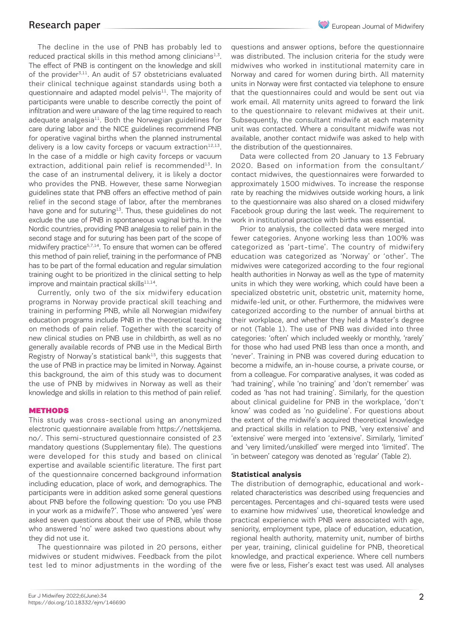The decline in the use of PNB has probably led to reduced practical skills in this method among clinicians $1,3$ . The effect of PNB is contingent on the knowledge and skill of the provider $3,11$ . An audit of 57 obstetricians evaluated their clinical technique against standards using both a questionnaire and adapted model pelvis $11$ . The majority of participants were unable to describe correctly the point of infiltration and were unaware of the lag time required to reach adequate analgesia<sup>11</sup>. Both the Norwegian guidelines for care during labor and the NICE guidelines recommend PNB for operative vaginal births when the planned instrumental delivery is a low cavity forceps or vacuum extraction $12,13$ . In the case of a middle or high cavity forceps or vacuum extraction, additional pain relief is recommended $13$ . In the case of an instrumental delivery, it is likely a doctor who provides the PNB. However, these same Norwegian guidelines state that PNB offers an effective method of pain relief in the second stage of labor, after the membranes have gone and for suturing $13$ . Thus, these guidelines do not exclude the use of PNB in spontaneous vaginal births. In the Nordic countries, providing PNB analgesia to relief pain in the second stage and for suturing has been part of the scope of midwifery practice<sup>5,7,14</sup>. To ensure that women can be offered this method of pain relief, training in the performance of PNB has to be part of the formal education and regular simulation training ought to be prioritized in the clinical setting to help improve and maintain practical skills<sup>11,14</sup>.

Currently, only two of the six midwifery education programs in Norway provide practical skill teaching and training in performing PNB, while all Norwegian midwifery education programs include PNB in the theoretical teaching on methods of pain relief. Together with the scarcity of new clinical studies on PNB use in childbirth, as well as no generally available records of PNB use in the Medical Birth Registry of Norway's statistical bank<sup>15</sup>, this suggests that the use of PNB in practice may be limited in Norway. Against this background, the aim of this study was to document the use of PNB by midwives in Norway as well as their knowledge and skills in relation to this method of pain relief.

### METHODS

This study was cross-sectional using an anonymized electronic questionnaire available from https://nettskjema. no/. This semi-structured questionnaire consisted of 23 mandatory questions (Supplementary file). The questions were developed for this study and based on clinical expertise and available scientific literature. The first part of the questionnaire concerned background information including education, place of work, and demographics. The participants were in addition asked some general questions about PNB before the following question: 'Do you use PNB in your work as a midwife?'. Those who answered 'yes' were asked seven questions about their use of PNB, while those who answered 'no' were asked two questions about why they did not use it.

The questionnaire was piloted in 20 persons, either midwives or student midwives. Feedback from the pilot test led to minor adjustments in the wording of the questions and answer options, before the questionnaire was distributed. The inclusion criteria for the study were midwives who worked in institutional maternity care in Norway and cared for women during birth. All maternity units in Norway were first contacted via telephone to ensure that the questionnaires could and would be sent out via work email. All maternity units agreed to forward the link to the questionnaire to relevant midwives at their unit. Subsequently, the consultant midwife at each maternity unit was contacted. Where a consultant midwife was not available, another contact midwife was asked to help with the distribution of the questionnaires.

Data were collected from 20 January to 13 February 2020. Based on information from the consultant/ contact midwives, the questionnaires were forwarded to approximately 1500 midwives. To increase the response rate by reaching the midwives outside working hours, a link to the questionnaire was also shared on a closed midwifery Facebook group during the last week. The requirement to work in institutional practice with births was essential.

Prior to analysis, the collected data were merged into fewer categories. Anyone working less than 100% was categorized as 'part-time'. The country of midwifery education was categorized as 'Norway' or 'other'. The midwives were categorized according to the four regional health authorities in Norway as well as the type of maternity units in which they were working, which could have been a specialized obstetric unit, obstetric unit, maternity home, midwife-led unit, or other. Furthermore, the midwives were categorized according to the number of annual births at their workplace, and whether they held a Master's degree or not (Table 1). The use of PNB was divided into three categories: 'often' which included weekly or monthly, 'rarely' for those who had used PNB less than once a month, and 'never'. Training in PNB was covered during education to become a midwife, an in-house course, a private course, or from a colleague. For comparative analyses, it was coded as 'had training', while 'no training' and 'don't remember' was coded as 'has not had training'. Similarly, for the question about clinical guideline for PNB in the workplace, 'don't know' was coded as 'no guideline'. For questions about the extent of the midwife's acquired theoretical knowledge and practical skills in relation to PNB, 'very extensive' and 'extensive' were merged into 'extensive'. Similarly, 'limited' and 'very limited/unskilled' were merged into 'limited'. The 'in between' category was denoted as 'regular' (Table 2).

### **Statistical analysis**

The distribution of demographic, educational and workrelated characteristics was described using frequencies and percentages. Percentages and chi-squared tests were used to examine how midwives' use, theoretical knowledge and practical experience with PNB were associated with age, seniority, employment type, place of education, education, regional health authority, maternity unit, number of births per year, training, clinical guideline for PNB, theoretical knowledge, and practical experience. Where cell numbers were five or less, Fisher's exact test was used. All analyses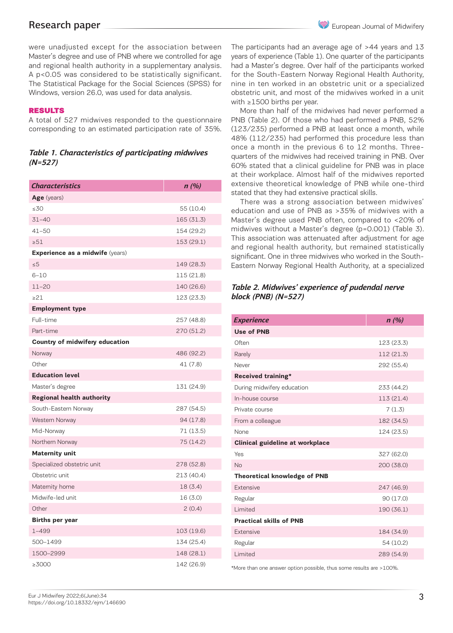were unadjusted except for the association between Master's degree and use of PNB where we controlled for age and regional health authority in a supplementary analysis. A p<0.05 was considered to be statistically significant. The Statistical Package for the Social Sciences (SPSS) for Windows, version 26.0, was used for data analysis.

### RESULTS

A total of 527 midwives responded to the questionnaire corresponding to an estimated participation rate of 35%.

### *Table 1. Characteristics of participating midwives (N=527)*

| <b>Characteristics</b>                 | n(%)       |
|----------------------------------------|------------|
| Age (years)                            |            |
| 30                                     | 55 (10.4)  |
| $31 - 40$                              | 165 (31.3) |
| $41 - 50$                              | 154 (29.2) |
| $\geq 51$                              | 153 (29.1) |
| <b>Experience as a midwife (years)</b> |            |
| $\leq 5$                               | 149 (28.3) |
| $6 - 10$                               | 115 (21.8) |
| $11 - 20$                              | 140 (26.6) |
| $\geq$ 21                              | 123 (23.3) |
| <b>Employment type</b>                 |            |
| Full-time                              | 257 (48.8) |
| Part-time                              | 270 (51.2) |
| Country of midwifery education         |            |
| Norway                                 | 486 (92.2) |
| Other                                  | 41 (7.8)   |
| <b>Education level</b>                 |            |
| Master's degree                        | 131 (24.9) |
| <b>Regional health authority</b>       |            |
| South-Eastern Norway                   | 287 (54.5) |
| Western Norway                         | 94 (17.8)  |
| Mid-Norway                             | 71 (13.5)  |
| Northern Norway                        | 75 (14.2)  |
| <b>Maternity unit</b>                  |            |
| Specialized obstetric unit             | 278 (52.8) |
| Obstetric unit                         | 213 (40.4) |
| Maternity home                         | 18(3.4)    |
| Midwife-led unit                       | 16 (3.0)   |
| Other                                  | 2(0.4)     |
| <b>Births per year</b>                 |            |
| $1 - 499$                              | 103 (19.6) |
| 500-1499                               | 134 (25.4) |
| 1500-2999                              | 148 (28.1) |
| ≥3000                                  | 142 (26.9) |

The participants had an average age of >44 years and 13 years of experience (Table 1). One quarter of the participants had a Master's degree. Over half of the participants worked for the South-Eastern Norway Regional Health Authority, nine in ten worked in an obstetric unit or a specialized obstetric unit, and most of the midwives worked in a unit with ≥1500 births per year.

More than half of the midwives had never performed a PNB (Table 2). Of those who had performed a PNB, 52% (123/235) performed a PNB at least once a month, while 48% (112/235) had performed this procedure less than once a month in the previous 6 to 12 months. Threequarters of the midwives had received training in PNB. Over 60% stated that a clinical guideline for PNB was in place at their workplace. Almost half of the midwives reported extensive theoretical knowledge of PNB while one-third stated that they had extensive practical skills.

There was a strong association between midwives' education and use of PNB as >35% of midwives with a Master's degree used PNB often, compared to <20% of midwives without a Master's degree (p=0.001) (Table 3). This association was attenuated after adjustment for age and regional health authority, but remained statistically significant. One in three midwives who worked in the South-Eastern Norway Regional Health Authority, at a specialized

### *Table 2. Midwives' experience of pudendal nerve block (PNB) (N=527)*

| <b>Experience</b>                      | n(%)       |
|----------------------------------------|------------|
| Use of PNB                             |            |
| Often                                  | 123 (23.3) |
| Rarely                                 | 112 (21.3) |
| Never                                  | 292 (55.4) |
| Received training*                     |            |
| During midwifery education             | 233 (44.2) |
| In-house course                        | 113 (21.4) |
| Private course                         | 7(1.3)     |
| From a colleague                       | 182 (34.5) |
| <b>None</b>                            | 124 (23.5) |
| <b>Clinical guideline at workplace</b> |            |
| Yes                                    | 327 (62.0) |
| <b>No</b>                              | 200 (38.0) |
| <b>Theoretical knowledge of PNB</b>    |            |
| Extensive                              | 247 (46.9) |
| Regular                                | 90 (17.0)  |
| I imited                               | 190 (36.1) |
| <b>Practical skills of PNB</b>         |            |
| Extensive                              | 184 (34.9) |
| Regular                                | 54 (10.2)  |
| Limited                                | 289 (54.9) |

\*More than one answer option possible, thus some results are >100%.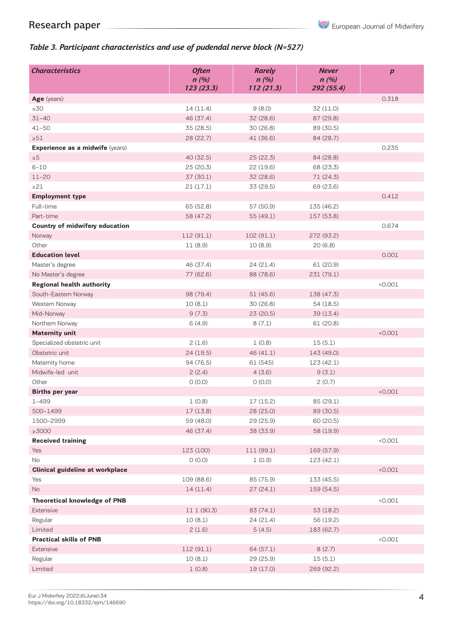European Journal of Midwifery

## *Table 3. Participant characteristics and use of pudendal nerve block (N=527)*

| <b>Characteristics</b>                 | <b>Often</b><br>n(%)<br>123(23.3) | <b>Rarely</b><br>n(%)<br>112(21.3) | <b>Never</b><br>n(%)<br>292 (55.4) | $\boldsymbol{p}$ |
|----------------------------------------|-----------------------------------|------------------------------------|------------------------------------|------------------|
| Age (years)                            |                                   |                                    |                                    | 0.318            |
| $\leq 30$                              | 14 (11.4)                         | 9(8.0)                             | 32 (11.0)                          |                  |
| $31 - 40$                              | 46 (37.4)                         | 32 (28.6)<br>87 (29.8)             |                                    |                  |
| $41 - 50$                              | 35 (28.5)                         | 30 (26.8)<br>89 (30.5)             |                                    |                  |
| $\geq 51$                              | 28 (22.7)                         | 41 (36.6)                          | 84 (28.7)                          |                  |
| Experience as a midwife (years)        |                                   |                                    |                                    | 0.235            |
| $\leq 5$                               | 40 (32.5)                         | 25(22.3)                           | 84 (28.8)                          |                  |
| $6 - 10$                               | 25(20.3)                          | 22 (19.6)                          | 68 (23.3)                          |                  |
| $11 - 20$                              | 37 (30.1)                         | 32 (28.6)                          | 71 (24.3)                          |                  |
| $\geq$ 21                              | 21(17.1)                          | 33 (29.5)                          | 69 (23.6)                          |                  |
| <b>Employment type</b>                 |                                   |                                    |                                    | 0.412            |
| Full-time                              | 65 (52.8)                         | 57 (50.9)                          | 135 (46.2)                         |                  |
| Part-time                              | 58 (47.2)                         | 55 (49.1)                          | 157 (53.8)                         |                  |
| Country of midwifery education         |                                   |                                    |                                    | 0.674            |
| Norway                                 | 112 (91.1)                        | 102 (91.1)                         | 272 (93.2)                         |                  |
| Other                                  | 11(8.9)                           | 10(8.9)                            | 20(6.8)                            |                  |
| <b>Education level</b>                 |                                   |                                    |                                    | 0.001            |
| Master's degree                        | 46 (37.4)                         | 24 (21.4)                          | 61 (20.9)                          |                  |
| No Master's degree                     | 77 (62.6)                         | 88 (78.6)                          | 231 (79.1)                         |                  |
| <b>Regional health authority</b>       |                                   |                                    |                                    | < 0.001          |
| South-Eastern Norway                   | 98 (79.4)                         | 51 (45.6)                          | 138 (47.3)                         |                  |
| Western Norway                         | 10(8.1)                           | 30 (26.8)                          | 54 (18.5)                          |                  |
| Mid-Norway                             | 9(7.3)                            | 23 (20.5)                          | 39 (13.4)                          |                  |
| Northern Norway                        | 6(4.9)                            | 8(7.1)                             | 61 (20.8)                          |                  |
| <b>Maternity unit</b>                  |                                   |                                    |                                    | < 0.001          |
| Specialized obstetric unit             | 2(1.6)                            | 1(0.8)                             | 15(5.1)                            |                  |
| Obstetric unit                         | 24 (19.5)                         | 46 (41.1)                          | 143 (49.0)                         |                  |
| Maternity home                         | 94 (76.5)                         | 61 (545)                           | 123 (42.1)                         |                  |
| Midwife-led unit                       | 2(2.4)                            | 4(3.6)                             | 9(3.1)                             |                  |
| Other                                  | O(0.0)                            | O(0.0)                             | 2(0.7)                             |                  |
| <b>Births per year</b>                 |                                   |                                    |                                    | < 0.001          |
| $1 - 499$                              | 1(0.8)                            | 17 (15.2)                          | 85 (29.1)                          |                  |
| 500-1499                               | 17 (13.8)                         | 28 (25.0)                          | 89 (30.5)                          |                  |
| 1500-2999                              | 59 (48.0)                         | 29 (25.9)                          | 60 (20.5)                          |                  |
| $\geq$ 3000                            | 46 (37.4)                         | 38 (33.9)                          | 58 (19.9)                          |                  |
| <b>Received training</b>               |                                   |                                    |                                    | < 0.001          |
| Yes                                    | 123 (100)                         | 111 (99.1)                         | 169 (57.9)                         |                  |
| No                                     | (0.0)                             | 1(0.9)                             | 123 (42.1)                         |                  |
| <b>Clinical guideline at workplace</b> |                                   |                                    |                                    | < 0.001          |
| Yes                                    | 109 (88.6)                        | 85 (75.9)                          | 133 (45.5)                         |                  |
| No                                     | 14 (11.4)                         | 27(24.1)                           | 159 (54.5)                         |                  |
| <b>Theoretical knowledge of PNB</b>    |                                   |                                    |                                    | < 0.001          |
| Extensive                              | 11 1 (90.3)                       | 83 (74.1)                          | 53 (18.2)                          |                  |
| Regular                                | 10(8.1)                           | 24 (21.4)                          | 56 (19.2)                          |                  |
| Limited                                | 2(1.6)                            | 5(4.5)                             | 183 (62.7)                         |                  |
| <b>Practical skills of PNB</b>         |                                   |                                    |                                    | < 0.001          |
| Extensive                              | 112 (91.1)                        | 64 (57.1)                          | 8(2.7)                             |                  |
| Regular                                | 10(8.1)                           | 29 (25.9)                          | 15(5.1)                            |                  |
| Limited                                | 1(0.8)                            | 19 (17.0)                          | 269 (92.2)                         |                  |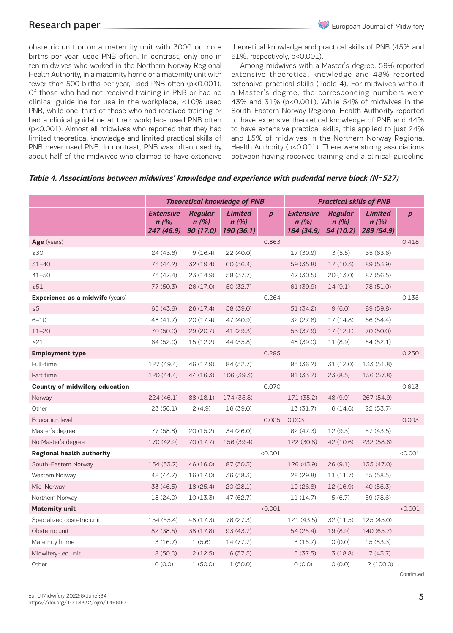obstetric unit or on a maternity unit with 3000 or more births per year, used PNB often. In contrast, only one in ten midwives who worked in the Northern Norway Regional Health Authority, in a maternity home or a maternity unit with fewer than 500 births per year, used PNB often (p<0.001). Of those who had not received training in PNB or had no clinical guideline for use in the workplace, <10% used PNB, while one-third of those who had received training or had a clinical guideline at their workplace used PNB often (p<0.001). Almost all midwives who reported that they had limited theoretical knowledge and limited practical skills of PNB never used PNB. In contrast, PNB was often used by about half of the midwives who claimed to have extensive

theoretical knowledge and practical skills of PNB (45% and 61%, respectively, p<0.001).

Among midwives with a Master's degree, 59% reported extensive theoretical knowledge and 48% reported extensive practical skills (Table 4). For midwives without a Master's degree, the corresponding numbers were 43% and 31% (p<0.001). While 54% of midwives in the South-Eastern Norway Regional Health Authority reported to have extensive theoretical knowledge of PNB and 44% to have extensive practical skills, this applied to just 24% and 15% of midwives in the Northern Norway Regional Health Authority (p<0.001). There were strong associations between having received training and a clinical guideline

|                                  | <b>Theoretical knowledge of PNB</b>    |                                     |                                      |                  | <b>Practical skills of PNB</b>         |                                     |                                      |                  |
|----------------------------------|----------------------------------------|-------------------------------------|--------------------------------------|------------------|----------------------------------------|-------------------------------------|--------------------------------------|------------------|
|                                  | <b>Extensive</b><br>n(%)<br>247 (46.9) | <b>Regular</b><br>n(%)<br>90 (17.0) | <b>Limited</b><br>n(%)<br>190 (36.1) | $\boldsymbol{p}$ | <b>Extensive</b><br>n(%)<br>184 (34.9) | <b>Regular</b><br>n(%)<br>54 (10.2) | <b>Limited</b><br>n(%)<br>289 (54.9) | $\boldsymbol{p}$ |
| Age (years)                      |                                        |                                     |                                      | 0.863            |                                        |                                     |                                      | 0.418            |
| $\leq 30$                        | 24 (43.6)                              | 9(16.4)                             | 22 (40.0)                            |                  | 17 (30.9)                              | 3(5.5)                              | 35 (63.6)                            |                  |
| $31 - 40$                        | 73 (44.2)                              | 32 (19.4)                           | 60 (36.4)                            |                  | 59 (35.8)                              | 17(10.3)                            | 89 (53.9)                            |                  |
| $41 - 50$                        | 73 (47.4)                              | 23(14.9)                            | 58 (37.7)                            |                  | 47 (30.5)                              | 20(13.0)                            | 87 (56.5)                            |                  |
| $\geq 51$                        | 77 (50.3)                              | 26 (17.0)                           | 50 (32.7)                            |                  | 61 (39.9)                              | 14(9.1)                             | 78 (51.0)                            |                  |
| Experience as a midwife (years)  |                                        |                                     |                                      | 0.264            |                                        |                                     |                                      | 0.135            |
| $\leq$ 5                         | 65 (43.6)                              | 26 (17.4)                           | 58 (39.0)                            |                  | 51 (34.2)                              | 9(6.0)                              | 89 (59.8)                            |                  |
| $6 - 10$                         | 48 (41.7)                              | 20(17.4)                            | 47 (40.9)                            |                  | 32 (27.8)                              | 17 (14.8)                           | 66 (54.4)                            |                  |
| $11 - 20$                        | 70 (50.0)                              | 29 (20.7)                           | 41 (29.3)                            |                  | 53 (37.9)                              | 17 (12.1)                           | 70 (50.0)                            |                  |
| $\geq$ 21                        | 64 (52.0)                              | 15 (12.2)                           | 44 (35.8)                            |                  | 48 (39.0)                              | 11 (8.9)                            | 64 (52.1)                            |                  |
| <b>Employment type</b>           |                                        |                                     |                                      | 0.295            |                                        |                                     |                                      | 0.250            |
| Full-time                        | 127 (49.4)                             | 46 (17.9)                           | 84 (32.7)                            |                  | 93 (36.2)                              | 31 (12.0)                           | 133 (51.8)                           |                  |
| Part time                        | 120 (44.4)                             | 44 (16.3)                           | 106 (39.3)                           |                  | 91(33.7)                               | 23(8.5)                             | 156 (57.8)                           |                  |
| Country of midwifery education   |                                        |                                     |                                      | 0.070            |                                        |                                     |                                      | 0.613            |
| Norway                           | 224 (46.1)                             | 88 (18.1)                           | 174 (35.8)                           |                  | 171 (35.2)                             | 48 (9.9)                            | 267 (54.9)                           |                  |
| Other                            | 23(56.1)                               | 2(4.9)                              | 16 (39.0)                            |                  | 13(31.7)                               | 6(14.6)                             | 22(53.7)                             |                  |
| <b>Education level</b>           |                                        |                                     |                                      | 0.005            | 0.003                                  |                                     |                                      | 0.003            |
| Master's degree                  | 77 (58.8)                              | 20(15.2)                            | 34 (26.0)                            |                  | 62 (47.3)                              | 12 (9.3)                            | 57 (43.5)                            |                  |
| No Master's degree               | 170 (42.9)                             | 70 (17.7)                           | 156 (39.4)                           |                  | 122 (30.8)                             | 42 (10.6)                           | 232 (58.6)                           |                  |
| <b>Regional health authority</b> |                                        |                                     |                                      | < 0.001          |                                        |                                     |                                      | < 0.001          |
| South-Eastern Norway             | 154 (53.7)                             | 46 (16.0)                           | 87 (30.3)                            |                  | 126 (43.9)                             | 26(9.1)                             | 135 (47.0)                           |                  |
| Western Norway                   | 42 (44.7)                              | 16 (17.0)                           | 36 (38.3)                            |                  | 28 (29.8)                              | 11(11.7)                            | 55 (58.5)                            |                  |
| Mid-Norway                       | 33 (46.5)                              | 18 (25.4)                           | 20(28.1)                             |                  | 19 (26.8)                              | 12 (16.9)                           | 40 (56.3)                            |                  |
| Northern Norway                  | 18 (24.0)                              | 10(13.3)                            | 47 (62.7)                            |                  | 11 (14.7)                              | 5(6.7)                              | 59 (78.6)                            |                  |
| <b>Maternity unit</b>            |                                        |                                     |                                      | < 0.001          |                                        |                                     |                                      | < 0.001          |
| Specialized obstetric unit       | 154 (55.4)                             | 48 (17.3)                           | 76 (27.3)                            |                  | 121 (43.5)                             | 32 (11.5)                           | 125 (45.0)                           |                  |
| Obstetric unit                   | 82 (38.5)                              | 38 (17.8)                           | 93 (43.7)                            |                  | 54 (25.4)                              | 19(8.9)                             | 140 (65.7)                           |                  |
| Maternity home                   | 3(16.7)                                | 1(5.6)                              | 14 (77.7)                            |                  | 3(16.7)                                | 0(0.0)                              | 15 (83.3)                            |                  |
| Midwifery-led unit               | 8 (50.0)                               | 2(12.5)                             | 6(37.5)                              |                  | 6(37.5)                                | 3(18.8)                             | 7(43.7)                              |                  |
| Other                            | O(0.0)                                 | 1(50.0)                             | 1(50.0)                              |                  | O(0.0)                                 | O(0.0)                              | 2(100.0)                             |                  |

### *Table 4. Associations between midwives' knowledge and experience with pudendal nerve block (N=527)*

Continued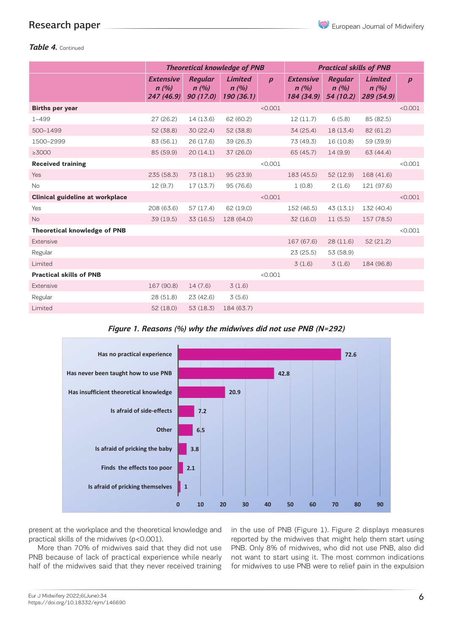### *Table 4.* Continued

|                                        | <b>Theoretical knowledge of PNB</b>    |                                    |                                      |                  | <b>Practical skills of PNB</b>         |                                     |                                      |                  |
|----------------------------------------|----------------------------------------|------------------------------------|--------------------------------------|------------------|----------------------------------------|-------------------------------------|--------------------------------------|------------------|
|                                        | <b>Extensive</b><br>n(%)<br>247 (46.9) | <b>Regular</b><br>n(%)<br>90(17.0) | <b>Limited</b><br>n(%)<br>190 (36.1) | $\boldsymbol{p}$ | <b>Extensive</b><br>n(%)<br>184 (34.9) | <b>Regular</b><br>n(%)<br>54 (10.2) | <b>Limited</b><br>n(%)<br>289 (54.9) | $\boldsymbol{p}$ |
| <b>Births per year</b>                 |                                        |                                    |                                      | < 0.001          |                                        |                                     |                                      | < 0.001          |
| $1 - 499$                              | 27(26.2)                               | 14 (13.6)                          | 62 (60.2)                            |                  | 12(11.7)                               | 6(5.8)                              | 85 (82.5)                            |                  |
| 500-1499                               | 52 (38.8)                              | 30(22.4)                           | 52 (38.8)                            |                  | 34 (25.4)                              | 18 (13.4)                           | 82 (61.2)                            |                  |
| 1500-2999                              | 83 (56.1)                              | 26(17.6)                           | 39 (26.3)                            |                  | 73 (49.3)                              | 16 (10.8)                           | 59 (39.9)                            |                  |
| $\geq$ 3000                            | 85 (59.9)                              | 20(14.1)                           | 37 (26.0)                            |                  | 65 (45.7)                              | 14(9.9)                             | 63 (44.4)                            |                  |
| <b>Received training</b>               |                                        |                                    |                                      | < 0.001          |                                        |                                     |                                      | < 0.001          |
| Yes                                    | 235(58.3)                              | 73(18.1)                           | 95(23.9)                             |                  | 183 (45.5)                             | 52(12.9)                            | 168 (41.6)                           |                  |
| <b>No</b>                              | 12(9.7)                                | 17(13.7)                           | 95 (76.6)                            |                  | 1(0.8)                                 | 2(1.6)                              | 121 (97.6)                           |                  |
| <b>Clinical guideline at workplace</b> |                                        |                                    |                                      | < 0.001          |                                        |                                     |                                      | < 0.001          |
| Yes                                    | 208 (63.6)                             | 57(17.4)                           | 62 (19.0)                            |                  | 152 (46.5)                             | 43 (13.1)                           | 132 (40.4)                           |                  |
| <b>No</b>                              | 39 (19.5)                              | 33(16.5)                           | 128 (64.0)                           |                  | 32 (16.0)                              | 11(5.5)                             | 157 (78.5)                           |                  |
| Theoretical knowledge of PNB           |                                        |                                    |                                      |                  |                                        |                                     |                                      | < 0.001          |
| Extensive                              |                                        |                                    |                                      |                  | 167 (67.6)                             | 28(11.6)                            | 52(21.2)                             |                  |
| Regular                                |                                        |                                    |                                      |                  | 23(25.5)                               | 53 (58.9)                           |                                      |                  |
| Limited                                |                                        |                                    |                                      |                  | 3(1.6)                                 | 3(1.6)                              | 184 (96.8)                           |                  |
| <b>Practical skills of PNB</b>         |                                        |                                    |                                      | < 0.001          |                                        |                                     |                                      |                  |
| Extensive                              | 167 (90.8)                             | 14(7.6)                            | 3(1.6)                               |                  |                                        |                                     |                                      |                  |
| Regular                                | 28 (51.8)                              | 23 (42.6)                          | 3(5.6)                               |                  |                                        |                                     |                                      |                  |
| Limited                                | 52(18.0)                               | 53(18.3)                           | 184 (63.7)                           |                  |                                        |                                     |                                      |                  |

*Figure 1. Reasons (%) why the midwives did not use PNB (N=292)* 



present at the workplace and the theoretical knowledge and practical skills of the midwives (p<0.001).

More than 70% of midwives said that they did not use *Figure 2. What was needed (%) for midwives to start using PNB (N=292)* PNB because of lack of practical experience while nearly half of the midwives said that they never received training

in the use of PNB (Figure 1). Figure 2 displays measures reported by the midwives that might help them start using PNB. Only 8% of midwives, who did not use PNB, also did not want to start using it. The most common indications for midwives to use PNB were to relief pain in the expulsion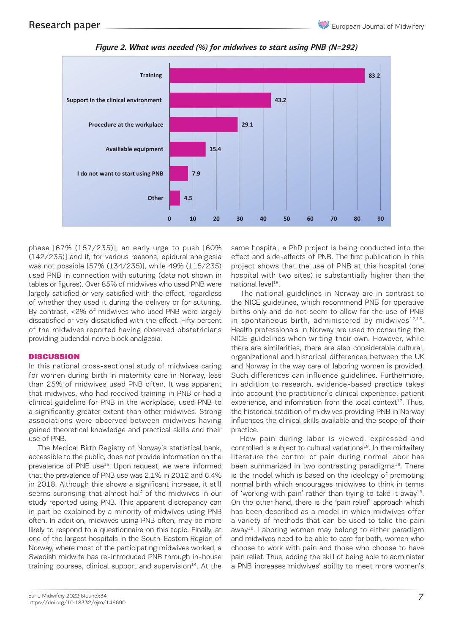

*Figure 2. What was needed (%) for midwives to start using PNB (N=292) Figure 2. What was needed (%) for midwives to start using PNB (N=292)*

phase [67% (157/235)], an early urge to push [60% (142/235)] and if, for various reasons, epidural analgesia was not possible [57% (134/235)], while 49% (115/235) used PNB in connection with suturing (data not shown in tables or figures). Over 85% of midwives who used PNB were largely satisfied or very satisfied with the effect, regardless of whether they used it during the delivery or for suturing. By contrast, <2% of midwives who used PNB were largely dissatisfied or very dissatisfied with the effect. Fifty percent of the midwives reported having observed obstetricians providing pudendal nerve block analgesia.

### **DISCUSSION**

In this national cross-sectional study of midwives caring for women during birth in maternity care in Norway, less than 25% of midwives used PNB often. It was apparent that midwives, who had received training in PNB or had a clinical guideline for PNB in the workplace, used PNB to a significantly greater extent than other midwives. Strong associations were observed between midwives having gained theoretical knowledge and practical skills and their use of PNB.

The Medical Birth Registry of Norway's statistical bank, accessible to the public, does not provide information on the prevalence of PNB use<sup>15</sup>. Upon request, we were informed that the prevalence of PNB use was 2.1% in 2012 and 6.4% in 2018. Although this shows a significant increase, it still seems surprising that almost half of the midwives in our study reported using PNB. This apparent discrepancy can in part be explained by a minority of midwives using PNB often. In addition, midwives using PNB often, may be more likely to respond to a questionnaire on this topic. Finally, at one of the largest hospitals in the South-Eastern Region of Norway, where most of the participating midwives worked, a Swedish midwife has re-introduced PNB through in-house training courses, clinical support and supervision $14$ . At the

same hospital, a PhD project is being conducted into the effect and side-effects of PNB. The first publication in this project shows that the use of PNB at this hospital (one hospital with two sites) is substantially higher than the national level<sup>16</sup>.

The national guidelines in Norway are in contrast to the NICE guidelines, which recommend PNB for operative births only and do not seem to allow for the use of PNB in spontaneous birth, administered by midwives $12,13$ . Health professionals in Norway are used to consulting the NICE guidelines when writing their own. However, while there are similarities, there are also considerable cultural, organizational and historical differences between the UK and Norway in the way care of laboring women is provided. Such differences can influence guidelines. Furthermore, in addition to research, evidence-based practice takes into account the practitioner's clinical experience, patient experience, and information from the local context $17$ . Thus, the historical tradition of midwives providing PNB in Norway influences the clinical skills available and the scope of their practice.

How pain during labor is viewed, expressed and controlled is subject to cultural variations<sup>18</sup>. In the midwifery literature the control of pain during normal labor has been summarized in two contrasting paradigms $19$ . There is the model which is based on the ideology of promoting normal birth which encourages midwives to think in terms of 'working with pain' rather than trying to take it away<sup>19</sup>. On the other hand, there is the 'pain relief' approach which has been described as a model in which midwives offer a variety of methods that can be used to take the pain away19. Laboring women may belong to either paradigm and midwives need to be able to care for both, women who choose to work with pain and those who choose to have pain relief. Thus, adding the skill of being able to administer a PNB increases midwives' ability to meet more women's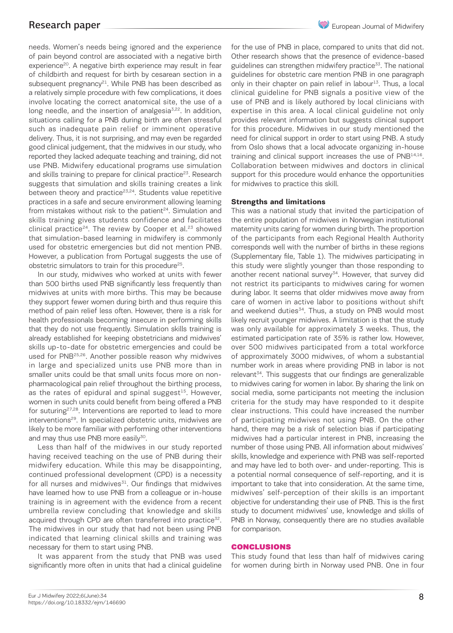needs. Women's needs being ignored and the experience of pain beyond control are associated with a negative birth experience<sup>20</sup>. A negative birth experience may result in fear of childbirth and request for birth by cesarean section in a subsequent pregnancy<sup>21</sup>. While PNB has been described as a relatively simple procedure with few complications, it does involve locating the correct anatomical site, the use of a long needle, and the insertion of analgesia<sup>3,22</sup>. In addition, situations calling for a PNB during birth are often stressful such as inadequate pain relief or imminent operative delivery. Thus, it is not surprising, and may even be regarded good clinical judgement, that the midwives in our study, who reported they lacked adequate teaching and training, did not use PNB. Midwifery educational programs use simulation and skills training to prepare for clinical practice<sup>23</sup>. Research suggests that simulation and skills training creates a link between theory and practice<sup>23,24</sup>. Students value repetitive practices in a safe and secure environment allowing learning from mistakes without risk to the patient $24$ . Simulation and skills training gives students confidence and facilitates clinical practice<sup>24</sup>. The review by Cooper et al.<sup>23</sup> showed that simulation-based learning in midwifery is commonly used for obstetric emergencies but did not mention PNB. However, a publication from Portugal suggests the use of obstetric simulators to train for this procedure<sup>25</sup>.

In our study, midwives who worked at units with fewer than 500 births used PNB significantly less frequently than midwives at units with more births. This may be because they support fewer women during birth and thus require this method of pain relief less often. However, there is a risk for health professionals becoming insecure in performing skills that they do not use frequently. Simulation skills training is already established for keeping obstetricians and midwives' skills up-to-date for obstetric emergencies and could be used for PNB25,26. Another possible reason why midwives in large and specialized units use PNB more than in smaller units could be that small units focus more on nonpharmacological pain relief throughout the birthing process, as the rates of epidural and spinal suggest $15$ . However, women in such units could benefit from being offered a PNB for suturing<sup>27,28</sup>. Interventions are reported to lead to more interventions<sup>29</sup>. In specialized obstetric units, midwives are likely to be more familiar with performing other interventions and may thus use PNB more easily<sup>30</sup>.

Less than half of the midwives in our study reported having received teaching on the use of PNB during their midwifery education. While this may be disappointing, continued professional development (CPD) is a necessity for all nurses and midwives $31$ . Our findings that midwives have learned how to use PNB from a colleague or in-house training is in agreement with the evidence from a recent umbrella review concluding that knowledge and skills acquired through CPD are often transferred into practice<sup>32</sup>. The midwives in our study that had not been using PNB indicated that learning clinical skills and training was necessary for them to start using PNB.

It was apparent from the study that PNB was used significantly more often in units that had a clinical guideline for the use of PNB in place, compared to units that did not. Other research shows that the presence of evidence-based guidelines can strengthen midwifery practice $33$ . The national guidelines for obstetric care mention PNB in one paragraph only in their chapter on pain relief in labour<sup>13</sup>. Thus, a local clinical guideline for PNB signals a positive view of the use of PNB and is likely authored by local clinicians with expertise in this area. A local clinical guideline not only provides relevant information but suggests clinical support for this procedure. Midwives in our study mentioned the need for clinical support in order to start using PNB. A study from Oslo shows that a local advocate organizing in-house training and clinical support increases the use of PNB14,16. Collaboration between midwives and doctors in clinical support for this procedure would enhance the opportunities for midwives to practice this skill.

### **Strengths and limitations**

This was a national study that invited the participation of the entire population of midwives in Norwegian institutional maternity units caring for women during birth. The proportion of the participants from each Regional Health Authority corresponds well with the number of births in these regions (Supplementary file, Table 1). The midwives participating in this study were slightly younger than those responding to another recent national survey<sup>34</sup>. However, that survey did not restrict its participants to midwives caring for women during labor. It seems that older midwives move away from care of women in active labor to positions without shift and weekend duties<sup>34</sup>. Thus, a study on PNB would most likely recruit younger midwives. A limitation is that the study was only available for approximately 3 weeks. Thus, the estimated participation rate of 35% is rather low. However, over 500 midwives participated from a total workforce of approximately 3000 midwives, of whom a substantial number work in areas where providing PNB in labor is not relevant<sup>34</sup>. This suggests that our findings are generalizable to midwives caring for women in labor. By sharing the link on social media, some participants not meeting the inclusion criteria for the study may have responded to it despite clear instructions. This could have increased the number of participating midwives not using PNB. On the other hand, there may be a risk of selection bias if participating midwives had a particular interest in PNB, increasing the number of those using PNB. All information about midwives' skills, knowledge and experience with PNB was self-reported and may have led to both over- and under-reporting. This is a potential normal consequence of self-reporting, and it is important to take that into consideration. At the same time, midwives' self-perception of their skills is an important objective for understanding their use of PNB. This is the first study to document midwives' use, knowledge and skills of PNB in Norway, consequently there are no studies available for comparison.

### CONCLUSIONS

This study found that less than half of midwives caring for women during birth in Norway used PNB. One in four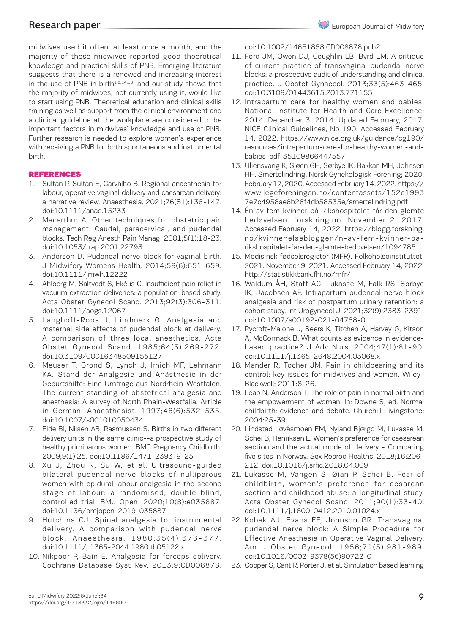midwives used it often, at least once a month, and the majority of these midwives reported good theoretical knowledge and practical skills of PNB. Emerging literature suggests that there is a renewed and increasing interest in the use of PNB in birth $1,8,14,18$ , and our study shows that the majority of midwives, not currently using it, would like to start using PNB. Theoretical education and clinical skills training as well as support from the clinical environment and a clinical guideline at the workplace are considered to be important factors in midwives' knowledge and use of PNB. Further research is needed to explore women's experience with receiving a PNB for both spontaneous and instrumental birth.

### REFERENCES

- 1. Sultan P, Sultan E, Carvalho B. Regional anaesthesia for labour, operative vaginal delivery and caesarean delivery: a narrative review. Anaesthesia. 2021;76(S1):136-147. doi:10.1111/anae.15233
- 2. Macarthur A. Other techniques for obstetric pain management: Caudal, paracervical, and pudendal blocks. Tech Reg Anesth Pain Manag. 2001;5(1):18-23. doi:10.1053/trap.2001.22793
- 3. Anderson D. Pudendal nerve block for vaginal birth. J Midwifery Womens Health. 2014;59(6):651-659. doi:10.1111/jmwh.12222
- 4. Ahlberg M, Saltvedt S, Ekéus C. Insufficient pain relief in vacuum extraction deliveries: a population-based study. Acta Obstet Gynecol Scand. 2013;92(3):306-311. doi:10.1111/aogs.12067
- 5. Langhoff-Roos J, Lindmark G. Analgesia and maternal side effects of pudendal block at delivery. A comparison of three local anesthetics. Acta Obstet Gynecol Scand. 1985;64(3):269-272. doi:10.3109/00016348509155127
- 6. Meuser T, Grond S, Lynch J, Irnich MF, Lehmann KA. Stand der Analgesie und Anästhesie in der Geburtshilfe: Eine Umfrage aus Nordrhein-Westfalen. The current standing of obstetrical analgesia and anesthesia: A survey of North Rhein-Westfalia. Article in German. Anaesthesist. 1997;46(6):532-535. doi:10.1007/s001010050434
- 7. Eide BI, Nilsen AB, Rasmussen S. Births in two different delivery units in the same clinic--a prospective study of healthy primiparous women. BMC Pregnancy Childbirth. 2009;9(1):25. doi:10.1186/1471-2393-9-25
- 8. Xu J, Zhou R, Su W, et al. Ultrasound-guided bilateral pudendal nerve blocks of nulliparous women with epidural labour analgesia in the second stage of labour: a randomised, double-blind, controlled trial. BMJ Open. 2020;10(8):e035887. doi:10.1136/bmjopen-2019-035887
- 9. Hutchins CJ. Spinal analgesia for instrumental delivery. A comparison with pudendal nerve block. Anaesthesia. 1980;35(4):376-377. doi:10.1111/j.1365-2044.1980.tb05122.x
- 10. Nikpoor P, Bain E. Analgesia for forceps delivery. Cochrane Database Syst Rev. 2013;9:CD008878.

doi:10.1002/14651858.CD008878.pub2

- 11. Ford JM, Owen DJ, Coughlin LB, Byrd LM. A critique of current practice of transvaginal pudendal nerve blocks: a prospective audit of understanding and clinical practice. J Obstet Gynaecol. 2013;33(5):463-465. doi:10.3109/01443615.2013.771155
- 12. Intrapartum care for healthy women and babies. National Institute for Health and Care Excellence; 2014. December 3, 2014. Updated February, 2017. NICE Clinical Guidelines, No 190. Accessed February 14, 2022. https://www.nice.org.uk/guidance/cg190/ resources/intrapartum-care-for-healthy-women-andbabies-pdf-35109866447557
- 13. Ullensvang K, Sjøen GH, Sørbye IK, Bakkan MH, Johnsen HH. Smertelindring. Norsk Gynekologisk Forening; 2020. February 17, 2020. Accessed February 14, 2022. https:// www.legeforeningen.no/contentassets/152e1993 7e7c4958ae6b28f4db58535e/smertelindring.pdf
- 14. Én av fem kvinner på Rikshospitalet får den glemte bedøvelsen. forskning.no. November 2, 2017. Accessed February 14, 2022. https://blogg.forskning. no/kvinnehelsebloggen/n-av-fem-kvinner-parikshospitalet-far-den-glemte-bedovelsen/1094785
- 15. Medisinsk fødselsregister (MFR). Folkehelseinstituttet; 2021. November 9, 2021. Accessed February 14, 2022. http://statistikkbank.fhi.no/mfr/
- 16. Waldum ÅH, Staff AC, Lukasse M, Falk RS, Sørbye IK, Jacobsen AF. Intrapartum pudendal nerve block analgesia and risk of postpartum urinary retention: a cohort study. Int Urogynecol J. 2021;32(9):2383-2391. doi:10.1007/s00192-021-04768-0
- 17. Rycroft-Malone J, Seers K, Titchen A, Harvey G, Kitson A, McCormack B. What counts as evidence in evidencebased practice? J Adv Nurs. 2004;47(1):81-90. doi:10.1111/j.1365-2648.2004.03068.x
- 18. Mander R, Tocher JM. Pain in childbearing and its control: key issues for midwives and women. Wiley-Blackwell; 2011:8-26.
- 19. Leap N, Anderson T. The role of pain in normal birth and the empowerment of women. In: Downe S, ed. Normal childbirth: evidence and debate. Churchill Livingstone; 2004:25-39.
- 20. Lindstad Løvåsmoen EM, Nyland Bjørgo M, Lukasse M, Schei B, Henriksen L. Women's preference for caesarean section and the actual mode of delivery - Comparing five sites in Norway. Sex Reprod Healthc. 2018;16:206- 212. doi:10.1016/j.srhc.2018.04.009
- 21. Lukasse M, Vangen S, Øian P, Schei B. Fear of childbirth, women's preference for cesarean section and childhood abuse: a longitudinal study. Acta Obstet Gynecol Scand. 2011;90(1):33-40. doi:10.1111/j.1600-0412.2010.01024.x
- 22. Kobak AJ, Evans EF, Johnson GR. Transvaginal pudendal nerve block: A Simple Procedure for Effective Anesthesia in Operative Vaginal Delivery. Am J Obstet Gynecol. 1956;71(5):981-989. doi:10.1016/0002-9378(56)90722-0
- 23. Cooper S, Cant R, Porter J, et al. Simulation based learning